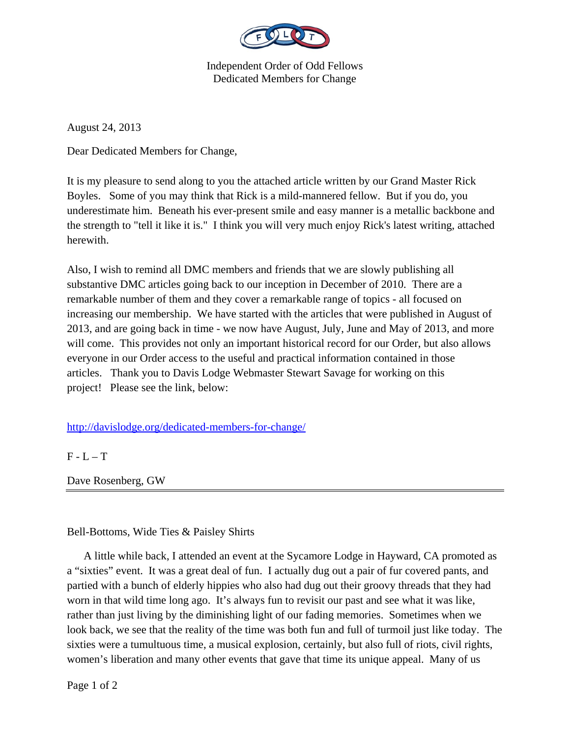

Independent Order of Odd Fellows Dedicated Members for Change

August 24, 2013

Dear Dedicated Members for Change,

It is my pleasure to send along to you the attached article written by our Grand Master Rick Boyles. Some of you may think that Rick is a mild-mannered fellow. But if you do, you underestimate him. Beneath his ever-present smile and easy manner is a metallic backbone and the strength to "tell it like it is." I think you will very much enjoy Rick's latest writing, attached herewith.

Also, I wish to remind all DMC members and friends that we are slowly publishing all substantive DMC articles going back to our inception in December of 2010. There are a remarkable number of them and they cover a remarkable range of topics - all focused on increasing our membership. We have started with the articles that were published in August of 2013, and are going back in time - we now have August, July, June and May of 2013, and more will come. This provides not only an important historical record for our Order, but also allows everyone in our Order access to the useful and practical information contained in those articles. Thank you to Davis Lodge Webmaster Stewart Savage for working on this project! Please see the link, below:

http://davislodge.org/dedicated-members-for-change/

 $F - L - T$ 

Dave Rosenberg, GW

Bell-Bottoms, Wide Ties & Paisley Shirts

 A little while back, I attended an event at the Sycamore Lodge in Hayward, CA promoted as a "sixties" event. It was a great deal of fun. I actually dug out a pair of fur covered pants, and partied with a bunch of elderly hippies who also had dug out their groovy threads that they had worn in that wild time long ago. It's always fun to revisit our past and see what it was like, rather than just living by the diminishing light of our fading memories. Sometimes when we look back, we see that the reality of the time was both fun and full of turmoil just like today. The sixties were a tumultuous time, a musical explosion, certainly, but also full of riots, civil rights, women's liberation and many other events that gave that time its unique appeal. Many of us